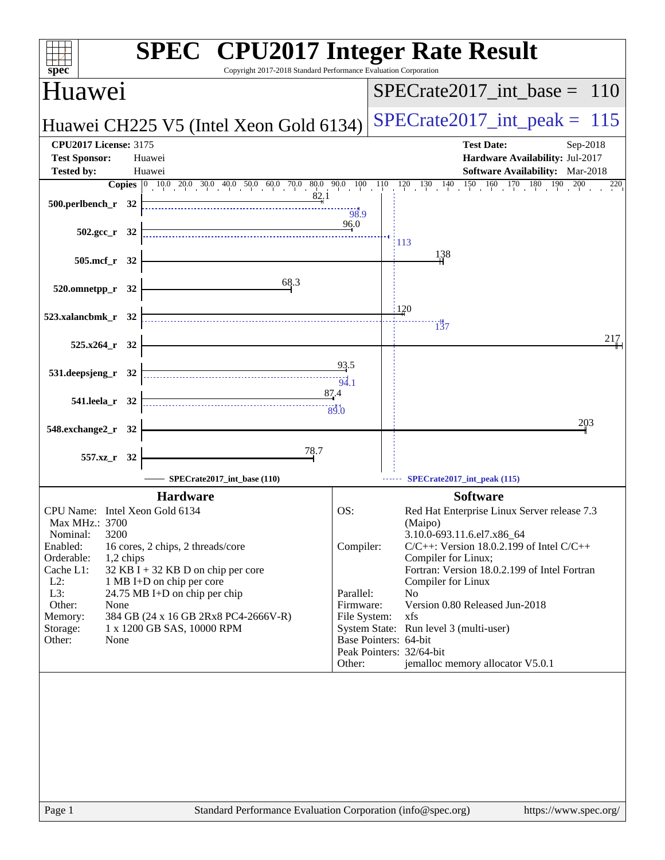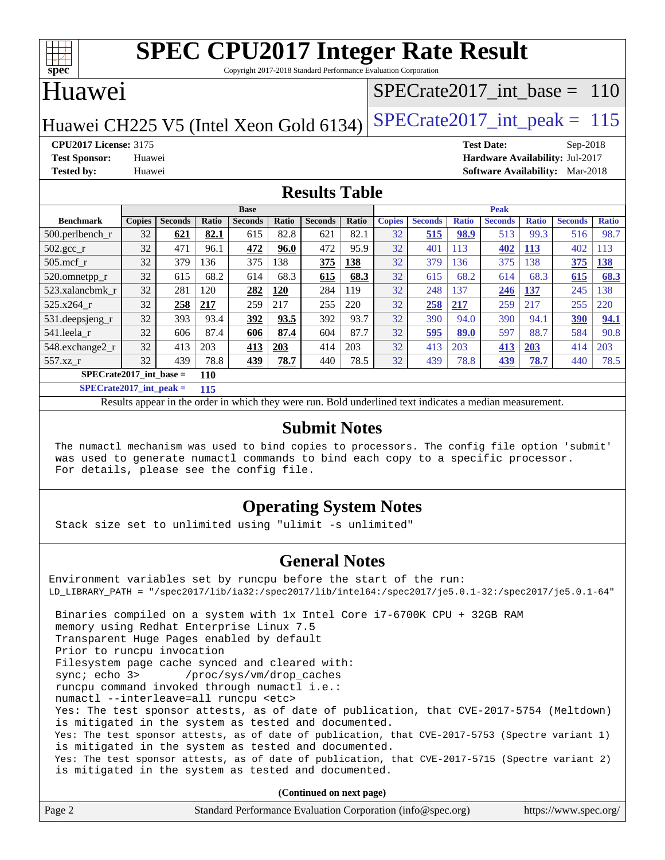

Copyright 2017-2018 Standard Performance Evaluation Corporation

### Huawei

### [SPECrate2017\\_int\\_base =](http://www.spec.org/auto/cpu2017/Docs/result-fields.html#SPECrate2017intbase) 110

Huawei CH225 V5 (Intel Xeon Gold 6134) SPECrate  $2017$ \_int\_peak = 115

**[CPU2017 License:](http://www.spec.org/auto/cpu2017/Docs/result-fields.html#CPU2017License)** 3175 **[Test Date:](http://www.spec.org/auto/cpu2017/Docs/result-fields.html#TestDate)** Sep-2018 **[Test Sponsor:](http://www.spec.org/auto/cpu2017/Docs/result-fields.html#TestSponsor)** Huawei **[Hardware Availability:](http://www.spec.org/auto/cpu2017/Docs/result-fields.html#HardwareAvailability)** Jul-2017 **[Tested by:](http://www.spec.org/auto/cpu2017/Docs/result-fields.html#Testedby)** Huawei **[Software Availability:](http://www.spec.org/auto/cpu2017/Docs/result-fields.html#SoftwareAvailability)** Mar-2018

### **[Results Table](http://www.spec.org/auto/cpu2017/Docs/result-fields.html#ResultsTable)**

|                           | <b>Base</b>   |                |       |                |              |                | <b>Peak</b> |               |                |              |                |              |                |              |
|---------------------------|---------------|----------------|-------|----------------|--------------|----------------|-------------|---------------|----------------|--------------|----------------|--------------|----------------|--------------|
| <b>Benchmark</b>          | <b>Copies</b> | <b>Seconds</b> | Ratio | <b>Seconds</b> | <b>Ratio</b> | <b>Seconds</b> | Ratio       | <b>Copies</b> | <b>Seconds</b> | <b>Ratio</b> | <b>Seconds</b> | <b>Ratio</b> | <b>Seconds</b> | <b>Ratio</b> |
| $500.$ perlbench_r        | 32            | 621            | 82.1  | 615            | 82.8         | 621            | 82.1        | 32            | 515            | 98.9         | 513            | 99.3         | 516            | 98.7         |
| $502.\text{sec}$          | 32            | 471            | 96.1  | 472            | 96.0         | 472            | 95.9        | 32            | 401            | 113          | 402            | 113          | 402            | 113          |
| $505$ .mcf r              | 32            | 379            | 136   | 375            | 138          | 375            | 138         | 32            | 379            | 136          | 375            | 138          | 375            | 138          |
| 520.omnetpp_r             | 32            | 615            | 68.2  | 614            | 68.3         | 615            | 68.3        | 32            | 615            | 68.2         | 614            | 68.3         | 615            | 68.3         |
| 523.xalancbmk r           | 32            | 281            | 120   | 282            | <b>120</b>   | 284            | 119         | 32            | 248            | 137          | 246            | 137          | 245            | 138          |
| 525.x264 r                | 32            | 258            | 217   | 259            | 217          | 255            | 220         | 32            | 258            | 217          | 259            | 217          | 255            | 220          |
| 531.deepsjeng_r           | 32            | 393            | 93.4  | 392            | 93.5         | 392            | 93.7        | 32            | 390            | 94.0         | 390            | 94.1         | 390            | 94.1         |
| 541.leela r               | 32            | 606            | 87.4  | 606            | 87.4         | 604            | 87.7        | 32            | 595            | 89.0         | 597            | 88.7         | 584            | 90.8         |
| 548.exchange2 r           | 32            | 413            | 203   | 413            | 203          | 414            | 203         | 32            | 413            | 203          | 413            | 203          | 414            | 203          |
| $557.xz$ r                | 32            | 439            | 78.8  | 439            | 78.7         | 440            | 78.5        | 32            | 439            | 78.8         | 439            | 78.7         | 440            | 78.5         |
| $SPECrate2017$ int base = |               |                | 110   |                |              |                |             |               |                |              |                |              |                |              |

**[SPECrate2017\\_int\\_peak =](http://www.spec.org/auto/cpu2017/Docs/result-fields.html#SPECrate2017intpeak) 115**

Results appear in the [order in which they were run.](http://www.spec.org/auto/cpu2017/Docs/result-fields.html#RunOrder) Bold underlined text [indicates a median measurement.](http://www.spec.org/auto/cpu2017/Docs/result-fields.html#Median)

#### **[Submit Notes](http://www.spec.org/auto/cpu2017/Docs/result-fields.html#SubmitNotes)**

 The numactl mechanism was used to bind copies to processors. The config file option 'submit' was used to generate numactl commands to bind each copy to a specific processor. For details, please see the config file.

### **[Operating System Notes](http://www.spec.org/auto/cpu2017/Docs/result-fields.html#OperatingSystemNotes)**

Stack size set to unlimited using "ulimit -s unlimited"

### **[General Notes](http://www.spec.org/auto/cpu2017/Docs/result-fields.html#GeneralNotes)**

Environment variables set by runcpu before the start of the run: LD\_LIBRARY\_PATH = "/spec2017/lib/ia32:/spec2017/lib/intel64:/spec2017/je5.0.1-32:/spec2017/je5.0.1-64" Binaries compiled on a system with 1x Intel Core i7-6700K CPU + 32GB RAM memory using Redhat Enterprise Linux 7.5 Transparent Huge Pages enabled by default Prior to runcpu invocation Filesystem page cache synced and cleared with: sync; echo 3> /proc/sys/vm/drop\_caches runcpu command invoked through numactl i.e.: numactl --interleave=all runcpu <etc> Yes: The test sponsor attests, as of date of publication, that CVE-2017-5754 (Meltdown) is mitigated in the system as tested and documented. Yes: The test sponsor attests, as of date of publication, that CVE-2017-5753 (Spectre variant 1) is mitigated in the system as tested and documented. Yes: The test sponsor attests, as of date of publication, that CVE-2017-5715 (Spectre variant 2) is mitigated in the system as tested and documented.

**(Continued on next page)**

| Page 2 | Standard Performance Evaluation Corporation (info@spec.org) | https://www.spec.org/ |
|--------|-------------------------------------------------------------|-----------------------|
|--------|-------------------------------------------------------------|-----------------------|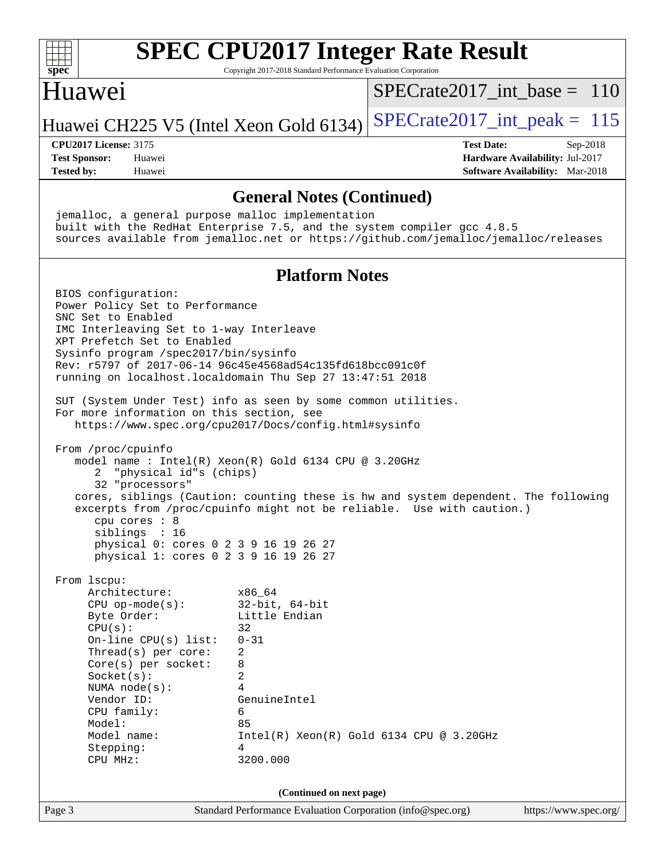

Copyright 2017-2018 Standard Performance Evaluation Corporation

### Huawei

[SPECrate2017\\_int\\_base =](http://www.spec.org/auto/cpu2017/Docs/result-fields.html#SPECrate2017intbase) 110

Huawei CH225 V5 (Intel Xeon Gold 6134) SPECrate  $2017$  int peak = 115

**[Tested by:](http://www.spec.org/auto/cpu2017/Docs/result-fields.html#Testedby)** Huawei **[Software Availability:](http://www.spec.org/auto/cpu2017/Docs/result-fields.html#SoftwareAvailability)** Mar-2018

**[CPU2017 License:](http://www.spec.org/auto/cpu2017/Docs/result-fields.html#CPU2017License)** 3175 **[Test Date:](http://www.spec.org/auto/cpu2017/Docs/result-fields.html#TestDate)** Sep-2018 **[Test Sponsor:](http://www.spec.org/auto/cpu2017/Docs/result-fields.html#TestSponsor)** Huawei **[Hardware Availability:](http://www.spec.org/auto/cpu2017/Docs/result-fields.html#HardwareAvailability)** Jul-2017

#### **[General Notes \(Continued\)](http://www.spec.org/auto/cpu2017/Docs/result-fields.html#GeneralNotes)**

 jemalloc, a general purpose malloc implementation built with the RedHat Enterprise 7.5, and the system compiler gcc 4.8.5 sources available from jemalloc.net or <https://github.com/jemalloc/jemalloc/releases> **[Platform Notes](http://www.spec.org/auto/cpu2017/Docs/result-fields.html#PlatformNotes)** BIOS configuration: Power Policy Set to Performance SNC Set to Enabled IMC Interleaving Set to 1-way Interleave XPT Prefetch Set to Enabled Sysinfo program /spec2017/bin/sysinfo Rev: r5797 of 2017-06-14 96c45e4568ad54c135fd618bcc091c0f running on localhost.localdomain Thu Sep 27 13:47:51 2018 SUT (System Under Test) info as seen by some common utilities. For more information on this section, see <https://www.spec.org/cpu2017/Docs/config.html#sysinfo> From /proc/cpuinfo model name : Intel(R) Xeon(R) Gold 6134 CPU @ 3.20GHz 2 "physical id"s (chips) 32 "processors" cores, siblings (Caution: counting these is hw and system dependent. The following excerpts from /proc/cpuinfo might not be reliable. Use with caution.) cpu cores : 8 siblings : 16 physical 0: cores 0 2 3 9 16 19 26 27 physical 1: cores 0 2 3 9 16 19 26 27 From lscpu: Architecture: x86\_64 CPU op-mode(s): 32-bit, 64-bit Byte Order: Little Endian  $CPU(s):$  32 On-line CPU(s) list: 0-31 Thread(s) per core: 2 Core(s) per socket: 8 Socket(s): 2 NUMA node(s): 4 Vendor ID: GenuineIntel CPU family: 6 Model: 85 Model name: Intel(R) Xeon(R) Gold 6134 CPU @ 3.20GHz Stepping: 4 CPU MHz: 3200.000 **(Continued on next page)**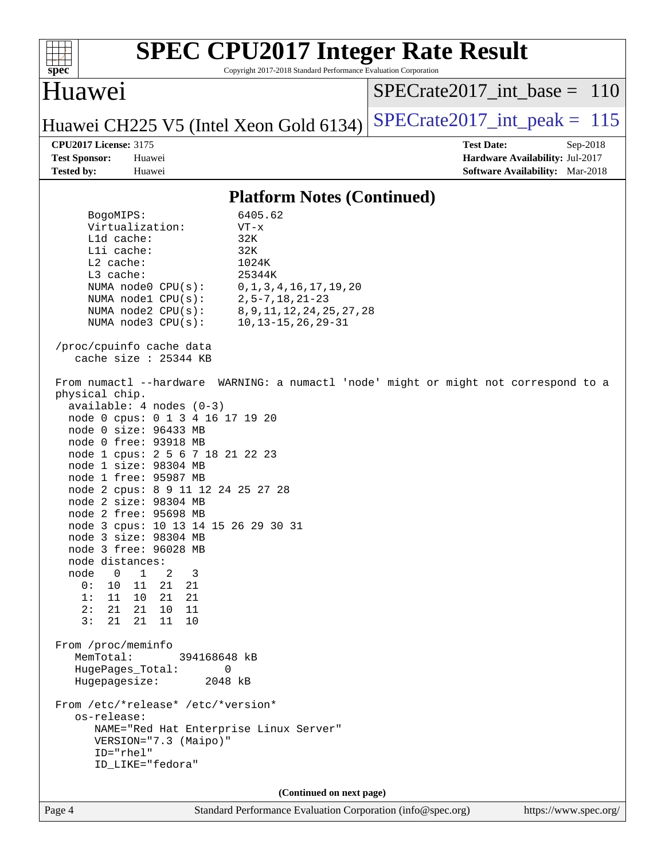

Copyright 2017-2018 Standard Performance Evaluation Corporation

## Huawei

[SPECrate2017\\_int\\_base =](http://www.spec.org/auto/cpu2017/Docs/result-fields.html#SPECrate2017intbase) 110

Huawei CH225 V5 (Intel Xeon Gold 6134) SPECrate  $2017$ \_int\_peak = 115

**[CPU2017 License:](http://www.spec.org/auto/cpu2017/Docs/result-fields.html#CPU2017License)** 3175 **[Test Date:](http://www.spec.org/auto/cpu2017/Docs/result-fields.html#TestDate)** Sep-2018 **[Test Sponsor:](http://www.spec.org/auto/cpu2017/Docs/result-fields.html#TestSponsor)** Huawei **[Hardware Availability:](http://www.spec.org/auto/cpu2017/Docs/result-fields.html#HardwareAvailability)** Jul-2017 **[Tested by:](http://www.spec.org/auto/cpu2017/Docs/result-fields.html#Testedby)** Huawei **[Software Availability:](http://www.spec.org/auto/cpu2017/Docs/result-fields.html#SoftwareAvailability)** Mar-2018

#### **[Platform Notes \(Continued\)](http://www.spec.org/auto/cpu2017/Docs/result-fields.html#PlatformNotes)**

 BogoMIPS: 6405.62 Virtualization: VT-x L1d cache: 32K L1i cache: 32K L2 cache: 1024K L3 cache: 25344K NUMA node0 CPU(s): 0,1,3,4,16,17,19,20 NUMA node1 CPU(s): 2,5-7,18,21-23 NUMA node2 CPU(s): 8,9,11,12,24,25,27,28 NUMA node3 CPU(s): 10,13-15,26,29-31 /proc/cpuinfo cache data cache size : 25344 KB From numactl --hardware WARNING: a numactl 'node' might or might not correspond to a physical chip. available: 4 nodes (0-3) node 0 cpus: 0 1 3 4 16 17 19 20 node 0 size: 96433 MB node 0 free: 93918 MB node 1 cpus: 2 5 6 7 18 21 22 23 node 1 size: 98304 MB node 1 free: 95987 MB node 2 cpus: 8 9 11 12 24 25 27 28 node 2 size: 98304 MB node 2 free: 95698 MB node 3 cpus: 10 13 14 15 26 29 30 31 node 3 size: 98304 MB node 3 free: 96028 MB node distances: node 0 1 2 3 0: 10 11 21 21 1: 11 10 21 21 2: 21 21 10 11 3: 21 21 11 10 From /proc/meminfo MemTotal: 394168648 kB HugePages\_Total: 0 Hugepagesize: 2048 kB From /etc/\*release\* /etc/\*version\* os-release: NAME="Red Hat Enterprise Linux Server" VERSION="7.3 (Maipo)" ID="rhel" ID\_LIKE="fedora" **(Continued on next page)**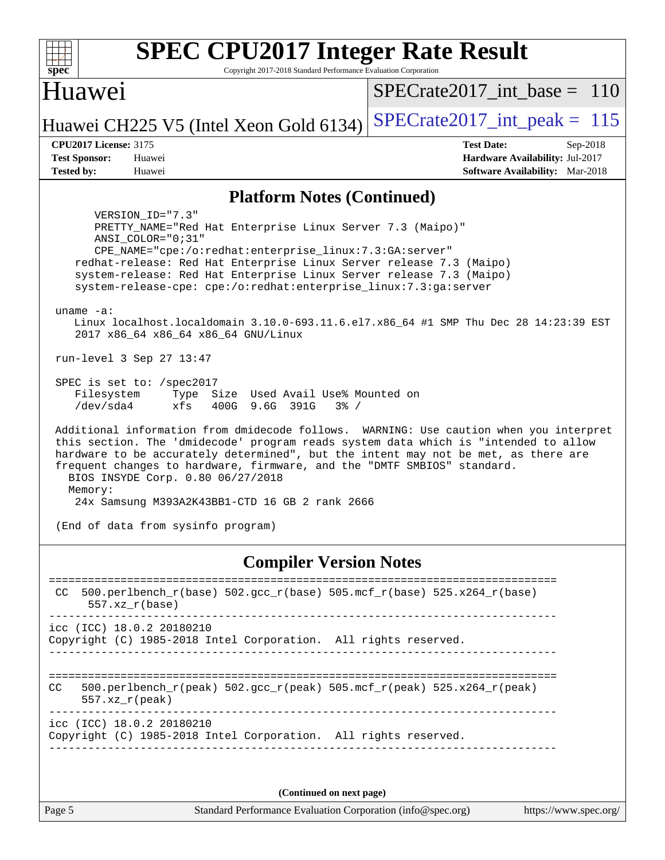| <b>SPEC CPU2017 Integer Rate Result</b>                                                                                                                                                                                                                                                                                                                                                                                                                                                                                                                                                                                                                                                                                                                                                                                                                                                                                                                                         |                                 |
|---------------------------------------------------------------------------------------------------------------------------------------------------------------------------------------------------------------------------------------------------------------------------------------------------------------------------------------------------------------------------------------------------------------------------------------------------------------------------------------------------------------------------------------------------------------------------------------------------------------------------------------------------------------------------------------------------------------------------------------------------------------------------------------------------------------------------------------------------------------------------------------------------------------------------------------------------------------------------------|---------------------------------|
| $spec*$<br>Copyright 2017-2018 Standard Performance Evaluation Corporation                                                                                                                                                                                                                                                                                                                                                                                                                                                                                                                                                                                                                                                                                                                                                                                                                                                                                                      |                                 |
| Huawei                                                                                                                                                                                                                                                                                                                                                                                                                                                                                                                                                                                                                                                                                                                                                                                                                                                                                                                                                                          | $SPECrate2017\_int\_base = 110$ |
| Huawei CH225 V5 (Intel Xeon Gold 6134)                                                                                                                                                                                                                                                                                                                                                                                                                                                                                                                                                                                                                                                                                                                                                                                                                                                                                                                                          | $SPECrate2017\_int\_peak = 115$ |
| <b>CPU2017 License: 3175</b>                                                                                                                                                                                                                                                                                                                                                                                                                                                                                                                                                                                                                                                                                                                                                                                                                                                                                                                                                    | <b>Test Date:</b><br>Sep-2018   |
| <b>Test Sponsor:</b><br>Huawei                                                                                                                                                                                                                                                                                                                                                                                                                                                                                                                                                                                                                                                                                                                                                                                                                                                                                                                                                  | Hardware Availability: Jul-2017 |
| <b>Tested by:</b><br>Huawei                                                                                                                                                                                                                                                                                                                                                                                                                                                                                                                                                                                                                                                                                                                                                                                                                                                                                                                                                     | Software Availability: Mar-2018 |
| <b>Platform Notes (Continued)</b>                                                                                                                                                                                                                                                                                                                                                                                                                                                                                                                                                                                                                                                                                                                                                                                                                                                                                                                                               |                                 |
| VERSION ID="7.3"<br>PRETTY NAME="Red Hat Enterprise Linux Server 7.3 (Maipo)"<br>ANSI COLOR="0;31"<br>CPE_NAME="cpe:/o:redhat:enterprise_linux:7.3:GA:server"<br>redhat-release: Red Hat Enterprise Linux Server release 7.3 (Maipo)<br>system-release: Red Hat Enterprise Linux Server release 7.3 (Maipo)<br>system-release-cpe: cpe:/o:redhat:enterprise_linux:7.3:ga:server<br>uname $-a$ :<br>Linux localhost.localdomain 3.10.0-693.11.6.el7.x86_64 #1 SMP Thu Dec 28 14:23:39 EST<br>2017 x86_64 x86_64 x86_64 GNU/Linux<br>run-level 3 Sep 27 13:47<br>SPEC is set to: /spec2017<br>Filesystem<br>Type Size Used Avail Use% Mounted on<br>/dev/sda4<br>xfs<br>400G 9.6G 391G<br>$3\frac{6}{6}$ /<br>Additional information from dmidecode follows. WARNING: Use caution when you interpret<br>this section. The 'dmidecode' program reads system data which is "intended to allow<br>hardware to be accurately determined", but the intent may not be met, as there are |                                 |
| frequent changes to hardware, firmware, and the "DMTF SMBIOS" standard.<br>BIOS INSYDE Corp. 0.80 06/27/2018<br>Memory:                                                                                                                                                                                                                                                                                                                                                                                                                                                                                                                                                                                                                                                                                                                                                                                                                                                         |                                 |
| 24x Samsung M393A2K43BB1-CTD 16 GB 2 rank 2666                                                                                                                                                                                                                                                                                                                                                                                                                                                                                                                                                                                                                                                                                                                                                                                                                                                                                                                                  |                                 |
| (End of data from sysinfo program)                                                                                                                                                                                                                                                                                                                                                                                                                                                                                                                                                                                                                                                                                                                                                                                                                                                                                                                                              |                                 |
| <b>Compiler Version Notes</b>                                                                                                                                                                                                                                                                                                                                                                                                                                                                                                                                                                                                                                                                                                                                                                                                                                                                                                                                                   |                                 |

============================================================================== CC 500.perlbench\_r(base) 502.gcc\_r(base) 505.mcf\_r(base) 525.x264\_r(base) 557.xz\_r(base) ----------------------------------------------------------------------------- icc (ICC) 18.0.2 20180210 Copyright (C) 1985-2018 Intel Corporation. All rights reserved. ------------------------------------------------------------------------------ ============================================================================== CC 500.perlbench\_r(peak)  $502.\text{sec}\xspace_r(\text{peak})$  505.mcf\_r(peak) 525.x264\_r(peak) 557.xz\_r(peak) ----------------------------------------------------------------------------- icc (ICC) 18.0.2 20180210 Copyright (C) 1985-2018 Intel Corporation. All rights reserved. ------------------------------------------------------------------------------ **(Continued on next page)**

Page 5 Standard Performance Evaluation Corporation [\(info@spec.org\)](mailto:info@spec.org) <https://www.spec.org/>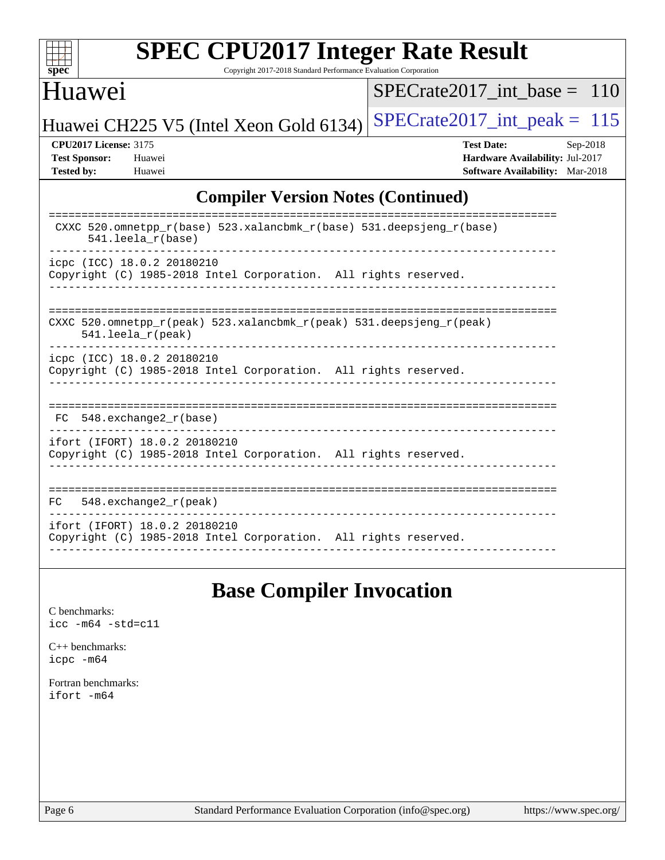

Copyright 2017-2018 Standard Performance Evaluation Corporation

### Huawei

[SPECrate2017\\_int\\_base =](http://www.spec.org/auto/cpu2017/Docs/result-fields.html#SPECrate2017intbase) 110

Huawei CH225 V5 (Intel Xeon Gold 6134) SPECrate  $2017$ \_int\_peak = 115

**[CPU2017 License:](http://www.spec.org/auto/cpu2017/Docs/result-fields.html#CPU2017License)** 3175 **[Test Date:](http://www.spec.org/auto/cpu2017/Docs/result-fields.html#TestDate)** Sep-2018 **[Test Sponsor:](http://www.spec.org/auto/cpu2017/Docs/result-fields.html#TestSponsor)** Huawei **[Hardware Availability:](http://www.spec.org/auto/cpu2017/Docs/result-fields.html#HardwareAvailability)** Jul-2017 **[Tested by:](http://www.spec.org/auto/cpu2017/Docs/result-fields.html#Testedby)** Huawei **[Software Availability:](http://www.spec.org/auto/cpu2017/Docs/result-fields.html#SoftwareAvailability)** Mar-2018

### **[Compiler Version Notes \(Continued\)](http://www.spec.org/auto/cpu2017/Docs/result-fields.html#CompilerVersionNotes)**

| CXXC 520.omnetpp_r(base) 523.xalancbmk_r(base) 531.deepsjeng_r(base)<br>$541.$ leela r(base)                            |
|-------------------------------------------------------------------------------------------------------------------------|
| icpc (ICC) 18.0.2 20180210<br>Copyright (C) 1985-2018 Intel Corporation. All rights reserved.                           |
| CXXC 520.omnetpp $r(\text{peak})$ 523.xalancbmk $r(\text{peak})$ 531.deepsjeng $r(\text{peak})$<br>$541.$ leela_r(peak) |
| icpc (ICC) 18.0.2 20180210<br>Copyright (C) 1985-2018 Intel Corporation. All rights reserved.                           |
| 548.exchange2 r(base)<br>FC                                                                                             |
| ifort (IFORT) 18.0.2 20180210<br>Copyright (C) 1985-2018 Intel Corporation. All rights reserved.                        |
| $548$ . exchange2 $r$ (peak)<br>FC.                                                                                     |
| ifort (IFORT) 18.0.2 20180210<br>Copyright (C) 1985-2018 Intel Corporation. All rights reserved.                        |

## **[Base Compiler Invocation](http://www.spec.org/auto/cpu2017/Docs/result-fields.html#BaseCompilerInvocation)**

[C benchmarks](http://www.spec.org/auto/cpu2017/Docs/result-fields.html#Cbenchmarks): [icc -m64 -std=c11](http://www.spec.org/cpu2017/results/res2018q4/cpu2017-20181007-09079.flags.html#user_CCbase_intel_icc_64bit_c11_33ee0cdaae7deeeab2a9725423ba97205ce30f63b9926c2519791662299b76a0318f32ddfffdc46587804de3178b4f9328c46fa7c2b0cd779d7a61945c91cd35)

[C++ benchmarks:](http://www.spec.org/auto/cpu2017/Docs/result-fields.html#CXXbenchmarks) [icpc -m64](http://www.spec.org/cpu2017/results/res2018q4/cpu2017-20181007-09079.flags.html#user_CXXbase_intel_icpc_64bit_4ecb2543ae3f1412ef961e0650ca070fec7b7afdcd6ed48761b84423119d1bf6bdf5cad15b44d48e7256388bc77273b966e5eb805aefd121eb22e9299b2ec9d9)

[Fortran benchmarks](http://www.spec.org/auto/cpu2017/Docs/result-fields.html#Fortranbenchmarks): [ifort -m64](http://www.spec.org/cpu2017/results/res2018q4/cpu2017-20181007-09079.flags.html#user_FCbase_intel_ifort_64bit_24f2bb282fbaeffd6157abe4f878425411749daecae9a33200eee2bee2fe76f3b89351d69a8130dd5949958ce389cf37ff59a95e7a40d588e8d3a57e0c3fd751)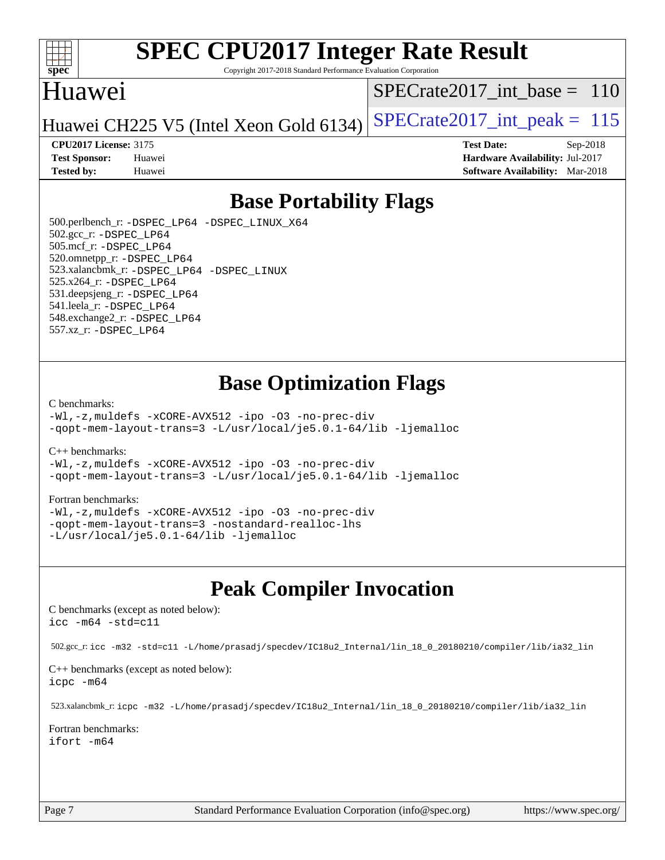

Copyright 2017-2018 Standard Performance Evaluation Corporation

## Huawei

[SPECrate2017\\_int\\_base =](http://www.spec.org/auto/cpu2017/Docs/result-fields.html#SPECrate2017intbase) 110

Huawei CH225 V5 (Intel Xeon Gold 6134) SPECrate  $2017$  int peak = 115

**[Test Sponsor:](http://www.spec.org/auto/cpu2017/Docs/result-fields.html#TestSponsor)** Huawei **[Hardware Availability:](http://www.spec.org/auto/cpu2017/Docs/result-fields.html#HardwareAvailability)** Jul-2017 **[Tested by:](http://www.spec.org/auto/cpu2017/Docs/result-fields.html#Testedby)** Huawei **[Software Availability:](http://www.spec.org/auto/cpu2017/Docs/result-fields.html#SoftwareAvailability)** Mar-2018

**[CPU2017 License:](http://www.spec.org/auto/cpu2017/Docs/result-fields.html#CPU2017License)** 3175 **[Test Date:](http://www.spec.org/auto/cpu2017/Docs/result-fields.html#TestDate)** Sep-2018

**[Base Portability Flags](http://www.spec.org/auto/cpu2017/Docs/result-fields.html#BasePortabilityFlags)**

 500.perlbench\_r: [-DSPEC\\_LP64](http://www.spec.org/cpu2017/results/res2018q4/cpu2017-20181007-09079.flags.html#b500.perlbench_r_basePORTABILITY_DSPEC_LP64) [-DSPEC\\_LINUX\\_X64](http://www.spec.org/cpu2017/results/res2018q4/cpu2017-20181007-09079.flags.html#b500.perlbench_r_baseCPORTABILITY_DSPEC_LINUX_X64) 502.gcc\_r: [-DSPEC\\_LP64](http://www.spec.org/cpu2017/results/res2018q4/cpu2017-20181007-09079.flags.html#suite_basePORTABILITY502_gcc_r_DSPEC_LP64) 505.mcf\_r: [-DSPEC\\_LP64](http://www.spec.org/cpu2017/results/res2018q4/cpu2017-20181007-09079.flags.html#suite_basePORTABILITY505_mcf_r_DSPEC_LP64) 520.omnetpp\_r: [-DSPEC\\_LP64](http://www.spec.org/cpu2017/results/res2018q4/cpu2017-20181007-09079.flags.html#suite_basePORTABILITY520_omnetpp_r_DSPEC_LP64) 523.xalancbmk\_r: [-DSPEC\\_LP64](http://www.spec.org/cpu2017/results/res2018q4/cpu2017-20181007-09079.flags.html#suite_basePORTABILITY523_xalancbmk_r_DSPEC_LP64) [-DSPEC\\_LINUX](http://www.spec.org/cpu2017/results/res2018q4/cpu2017-20181007-09079.flags.html#b523.xalancbmk_r_baseCXXPORTABILITY_DSPEC_LINUX) 525.x264\_r: [-DSPEC\\_LP64](http://www.spec.org/cpu2017/results/res2018q4/cpu2017-20181007-09079.flags.html#suite_basePORTABILITY525_x264_r_DSPEC_LP64) 531.deepsjeng\_r: [-DSPEC\\_LP64](http://www.spec.org/cpu2017/results/res2018q4/cpu2017-20181007-09079.flags.html#suite_basePORTABILITY531_deepsjeng_r_DSPEC_LP64) 541.leela\_r: [-DSPEC\\_LP64](http://www.spec.org/cpu2017/results/res2018q4/cpu2017-20181007-09079.flags.html#suite_basePORTABILITY541_leela_r_DSPEC_LP64) 548.exchange2\_r: [-DSPEC\\_LP64](http://www.spec.org/cpu2017/results/res2018q4/cpu2017-20181007-09079.flags.html#suite_basePORTABILITY548_exchange2_r_DSPEC_LP64) 557.xz\_r: [-DSPEC\\_LP64](http://www.spec.org/cpu2017/results/res2018q4/cpu2017-20181007-09079.flags.html#suite_basePORTABILITY557_xz_r_DSPEC_LP64)

## **[Base Optimization Flags](http://www.spec.org/auto/cpu2017/Docs/result-fields.html#BaseOptimizationFlags)**

#### [C benchmarks](http://www.spec.org/auto/cpu2017/Docs/result-fields.html#Cbenchmarks):

[-Wl,-z,muldefs](http://www.spec.org/cpu2017/results/res2018q4/cpu2017-20181007-09079.flags.html#user_CCbase_link_force_multiple1_b4cbdb97b34bdee9ceefcfe54f4c8ea74255f0b02a4b23e853cdb0e18eb4525ac79b5a88067c842dd0ee6996c24547a27a4b99331201badda8798ef8a743f577) [-xCORE-AVX512](http://www.spec.org/cpu2017/results/res2018q4/cpu2017-20181007-09079.flags.html#user_CCbase_f-xCORE-AVX512) [-ipo](http://www.spec.org/cpu2017/results/res2018q4/cpu2017-20181007-09079.flags.html#user_CCbase_f-ipo) [-O3](http://www.spec.org/cpu2017/results/res2018q4/cpu2017-20181007-09079.flags.html#user_CCbase_f-O3) [-no-prec-div](http://www.spec.org/cpu2017/results/res2018q4/cpu2017-20181007-09079.flags.html#user_CCbase_f-no-prec-div) [-qopt-mem-layout-trans=3](http://www.spec.org/cpu2017/results/res2018q4/cpu2017-20181007-09079.flags.html#user_CCbase_f-qopt-mem-layout-trans_de80db37974c74b1f0e20d883f0b675c88c3b01e9d123adea9b28688d64333345fb62bc4a798493513fdb68f60282f9a726aa07f478b2f7113531aecce732043) [-L/usr/local/je5.0.1-64/lib](http://www.spec.org/cpu2017/results/res2018q4/cpu2017-20181007-09079.flags.html#user_CCbase_jemalloc_link_path64_4b10a636b7bce113509b17f3bd0d6226c5fb2346b9178c2d0232c14f04ab830f976640479e5c33dc2bcbbdad86ecfb6634cbbd4418746f06f368b512fced5394) [-ljemalloc](http://www.spec.org/cpu2017/results/res2018q4/cpu2017-20181007-09079.flags.html#user_CCbase_jemalloc_link_lib_d1249b907c500fa1c0672f44f562e3d0f79738ae9e3c4a9c376d49f265a04b9c99b167ecedbf6711b3085be911c67ff61f150a17b3472be731631ba4d0471706)

[C++ benchmarks:](http://www.spec.org/auto/cpu2017/Docs/result-fields.html#CXXbenchmarks)

[-Wl,-z,muldefs](http://www.spec.org/cpu2017/results/res2018q4/cpu2017-20181007-09079.flags.html#user_CXXbase_link_force_multiple1_b4cbdb97b34bdee9ceefcfe54f4c8ea74255f0b02a4b23e853cdb0e18eb4525ac79b5a88067c842dd0ee6996c24547a27a4b99331201badda8798ef8a743f577) [-xCORE-AVX512](http://www.spec.org/cpu2017/results/res2018q4/cpu2017-20181007-09079.flags.html#user_CXXbase_f-xCORE-AVX512) [-ipo](http://www.spec.org/cpu2017/results/res2018q4/cpu2017-20181007-09079.flags.html#user_CXXbase_f-ipo) [-O3](http://www.spec.org/cpu2017/results/res2018q4/cpu2017-20181007-09079.flags.html#user_CXXbase_f-O3) [-no-prec-div](http://www.spec.org/cpu2017/results/res2018q4/cpu2017-20181007-09079.flags.html#user_CXXbase_f-no-prec-div) [-qopt-mem-layout-trans=3](http://www.spec.org/cpu2017/results/res2018q4/cpu2017-20181007-09079.flags.html#user_CXXbase_f-qopt-mem-layout-trans_de80db37974c74b1f0e20d883f0b675c88c3b01e9d123adea9b28688d64333345fb62bc4a798493513fdb68f60282f9a726aa07f478b2f7113531aecce732043) [-L/usr/local/je5.0.1-64/lib](http://www.spec.org/cpu2017/results/res2018q4/cpu2017-20181007-09079.flags.html#user_CXXbase_jemalloc_link_path64_4b10a636b7bce113509b17f3bd0d6226c5fb2346b9178c2d0232c14f04ab830f976640479e5c33dc2bcbbdad86ecfb6634cbbd4418746f06f368b512fced5394) [-ljemalloc](http://www.spec.org/cpu2017/results/res2018q4/cpu2017-20181007-09079.flags.html#user_CXXbase_jemalloc_link_lib_d1249b907c500fa1c0672f44f562e3d0f79738ae9e3c4a9c376d49f265a04b9c99b167ecedbf6711b3085be911c67ff61f150a17b3472be731631ba4d0471706)

#### [Fortran benchmarks](http://www.spec.org/auto/cpu2017/Docs/result-fields.html#Fortranbenchmarks):

[-Wl,-z,muldefs](http://www.spec.org/cpu2017/results/res2018q4/cpu2017-20181007-09079.flags.html#user_FCbase_link_force_multiple1_b4cbdb97b34bdee9ceefcfe54f4c8ea74255f0b02a4b23e853cdb0e18eb4525ac79b5a88067c842dd0ee6996c24547a27a4b99331201badda8798ef8a743f577) [-xCORE-AVX512](http://www.spec.org/cpu2017/results/res2018q4/cpu2017-20181007-09079.flags.html#user_FCbase_f-xCORE-AVX512) [-ipo](http://www.spec.org/cpu2017/results/res2018q4/cpu2017-20181007-09079.flags.html#user_FCbase_f-ipo) [-O3](http://www.spec.org/cpu2017/results/res2018q4/cpu2017-20181007-09079.flags.html#user_FCbase_f-O3) [-no-prec-div](http://www.spec.org/cpu2017/results/res2018q4/cpu2017-20181007-09079.flags.html#user_FCbase_f-no-prec-div) [-qopt-mem-layout-trans=3](http://www.spec.org/cpu2017/results/res2018q4/cpu2017-20181007-09079.flags.html#user_FCbase_f-qopt-mem-layout-trans_de80db37974c74b1f0e20d883f0b675c88c3b01e9d123adea9b28688d64333345fb62bc4a798493513fdb68f60282f9a726aa07f478b2f7113531aecce732043) [-nostandard-realloc-lhs](http://www.spec.org/cpu2017/results/res2018q4/cpu2017-20181007-09079.flags.html#user_FCbase_f_2003_std_realloc_82b4557e90729c0f113870c07e44d33d6f5a304b4f63d4c15d2d0f1fab99f5daaed73bdb9275d9ae411527f28b936061aa8b9c8f2d63842963b95c9dd6426b8a) [-L/usr/local/je5.0.1-64/lib](http://www.spec.org/cpu2017/results/res2018q4/cpu2017-20181007-09079.flags.html#user_FCbase_jemalloc_link_path64_4b10a636b7bce113509b17f3bd0d6226c5fb2346b9178c2d0232c14f04ab830f976640479e5c33dc2bcbbdad86ecfb6634cbbd4418746f06f368b512fced5394) [-ljemalloc](http://www.spec.org/cpu2017/results/res2018q4/cpu2017-20181007-09079.flags.html#user_FCbase_jemalloc_link_lib_d1249b907c500fa1c0672f44f562e3d0f79738ae9e3c4a9c376d49f265a04b9c99b167ecedbf6711b3085be911c67ff61f150a17b3472be731631ba4d0471706)

## **[Peak Compiler Invocation](http://www.spec.org/auto/cpu2017/Docs/result-fields.html#PeakCompilerInvocation)**

[C benchmarks \(except as noted below\)](http://www.spec.org/auto/cpu2017/Docs/result-fields.html#Cbenchmarksexceptasnotedbelow): [icc -m64 -std=c11](http://www.spec.org/cpu2017/results/res2018q4/cpu2017-20181007-09079.flags.html#user_CCpeak_intel_icc_64bit_c11_33ee0cdaae7deeeab2a9725423ba97205ce30f63b9926c2519791662299b76a0318f32ddfffdc46587804de3178b4f9328c46fa7c2b0cd779d7a61945c91cd35)

502.gcc\_r: [icc -m32 -std=c11 -L/home/prasadj/specdev/IC18u2\\_Internal/lin\\_18\\_0\\_20180210/compiler/lib/ia32\\_lin](http://www.spec.org/cpu2017/results/res2018q4/cpu2017-20181007-09079.flags.html#user_peakCCLD502_gcc_r_intel_icc_a481ac844e7127046fad14d498c730a1848fa901fbbb2c3dfdd5e9fbbac777c8009953946d55d8b6afe8ed0da70dd2b4f8dedbdf7ab1ee211ba70d24a5d89f85)

[C++ benchmarks \(except as noted below\):](http://www.spec.org/auto/cpu2017/Docs/result-fields.html#CXXbenchmarksexceptasnotedbelow) [icpc -m64](http://www.spec.org/cpu2017/results/res2018q4/cpu2017-20181007-09079.flags.html#user_CXXpeak_intel_icpc_64bit_4ecb2543ae3f1412ef961e0650ca070fec7b7afdcd6ed48761b84423119d1bf6bdf5cad15b44d48e7256388bc77273b966e5eb805aefd121eb22e9299b2ec9d9)

523.xalancbmk\_r: [icpc -m32 -L/home/prasadj/specdev/IC18u2\\_Internal/lin\\_18\\_0\\_20180210/compiler/lib/ia32\\_lin](http://www.spec.org/cpu2017/results/res2018q4/cpu2017-20181007-09079.flags.html#user_peakCXXLD523_xalancbmk_r_intel_icpc_c6d030cd79af6ea7d6fb64c57e8fe7ae8fe0b96fc5a3b3f4a10e3273b3d7fa9decd8263f6330cef23f751cb093a69fae84a2bf4c243500a8eed069248128076f)

[Fortran benchmarks](http://www.spec.org/auto/cpu2017/Docs/result-fields.html#Fortranbenchmarks): [ifort -m64](http://www.spec.org/cpu2017/results/res2018q4/cpu2017-20181007-09079.flags.html#user_FCpeak_intel_ifort_64bit_24f2bb282fbaeffd6157abe4f878425411749daecae9a33200eee2bee2fe76f3b89351d69a8130dd5949958ce389cf37ff59a95e7a40d588e8d3a57e0c3fd751)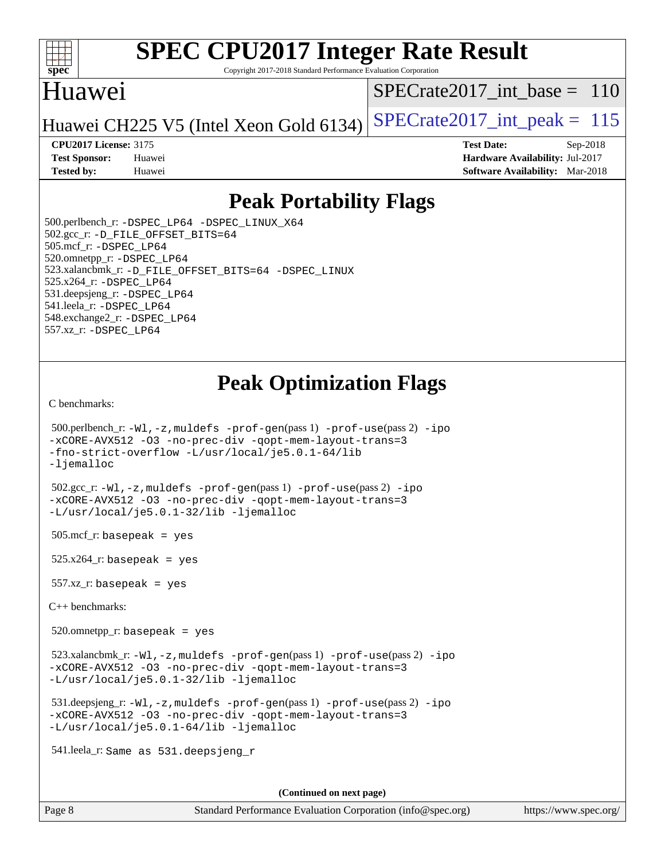

Copyright 2017-2018 Standard Performance Evaluation Corporation

## Huawei

[SPECrate2017\\_int\\_base =](http://www.spec.org/auto/cpu2017/Docs/result-fields.html#SPECrate2017intbase) 110

Huawei CH225 V5 (Intel Xeon Gold 6134) SPECrate  $2017$  int peak = 115

**[Tested by:](http://www.spec.org/auto/cpu2017/Docs/result-fields.html#Testedby)** Huawei **[Software Availability:](http://www.spec.org/auto/cpu2017/Docs/result-fields.html#SoftwareAvailability)** Mar-2018

**[CPU2017 License:](http://www.spec.org/auto/cpu2017/Docs/result-fields.html#CPU2017License)** 3175 **[Test Date:](http://www.spec.org/auto/cpu2017/Docs/result-fields.html#TestDate)** Sep-2018 **[Test Sponsor:](http://www.spec.org/auto/cpu2017/Docs/result-fields.html#TestSponsor)** Huawei **[Hardware Availability:](http://www.spec.org/auto/cpu2017/Docs/result-fields.html#HardwareAvailability)** Jul-2017

## **[Peak Portability Flags](http://www.spec.org/auto/cpu2017/Docs/result-fields.html#PeakPortabilityFlags)**

 500.perlbench\_r: [-DSPEC\\_LP64](http://www.spec.org/cpu2017/results/res2018q4/cpu2017-20181007-09079.flags.html#b500.perlbench_r_peakPORTABILITY_DSPEC_LP64) [-DSPEC\\_LINUX\\_X64](http://www.spec.org/cpu2017/results/res2018q4/cpu2017-20181007-09079.flags.html#b500.perlbench_r_peakCPORTABILITY_DSPEC_LINUX_X64) 502.gcc\_r: [-D\\_FILE\\_OFFSET\\_BITS=64](http://www.spec.org/cpu2017/results/res2018q4/cpu2017-20181007-09079.flags.html#user_peakPORTABILITY502_gcc_r_file_offset_bits_64_5ae949a99b284ddf4e95728d47cb0843d81b2eb0e18bdfe74bbf0f61d0b064f4bda2f10ea5eb90e1dcab0e84dbc592acfc5018bc955c18609f94ddb8d550002c) 505.mcf\_r: [-DSPEC\\_LP64](http://www.spec.org/cpu2017/results/res2018q4/cpu2017-20181007-09079.flags.html#suite_peakPORTABILITY505_mcf_r_DSPEC_LP64) 520.omnetpp\_r: [-DSPEC\\_LP64](http://www.spec.org/cpu2017/results/res2018q4/cpu2017-20181007-09079.flags.html#suite_peakPORTABILITY520_omnetpp_r_DSPEC_LP64) 523.xalancbmk\_r: [-D\\_FILE\\_OFFSET\\_BITS=64](http://www.spec.org/cpu2017/results/res2018q4/cpu2017-20181007-09079.flags.html#user_peakPORTABILITY523_xalancbmk_r_file_offset_bits_64_5ae949a99b284ddf4e95728d47cb0843d81b2eb0e18bdfe74bbf0f61d0b064f4bda2f10ea5eb90e1dcab0e84dbc592acfc5018bc955c18609f94ddb8d550002c) [-DSPEC\\_LINUX](http://www.spec.org/cpu2017/results/res2018q4/cpu2017-20181007-09079.flags.html#b523.xalancbmk_r_peakCXXPORTABILITY_DSPEC_LINUX) 525.x264\_r: [-DSPEC\\_LP64](http://www.spec.org/cpu2017/results/res2018q4/cpu2017-20181007-09079.flags.html#suite_peakPORTABILITY525_x264_r_DSPEC_LP64) 531.deepsjeng\_r: [-DSPEC\\_LP64](http://www.spec.org/cpu2017/results/res2018q4/cpu2017-20181007-09079.flags.html#suite_peakPORTABILITY531_deepsjeng_r_DSPEC_LP64) 541.leela\_r: [-DSPEC\\_LP64](http://www.spec.org/cpu2017/results/res2018q4/cpu2017-20181007-09079.flags.html#suite_peakPORTABILITY541_leela_r_DSPEC_LP64) 548.exchange2\_r: [-DSPEC\\_LP64](http://www.spec.org/cpu2017/results/res2018q4/cpu2017-20181007-09079.flags.html#suite_peakPORTABILITY548_exchange2_r_DSPEC_LP64) 557.xz\_r: [-DSPEC\\_LP64](http://www.spec.org/cpu2017/results/res2018q4/cpu2017-20181007-09079.flags.html#suite_peakPORTABILITY557_xz_r_DSPEC_LP64)

## **[Peak Optimization Flags](http://www.spec.org/auto/cpu2017/Docs/result-fields.html#PeakOptimizationFlags)**

[C benchmarks](http://www.spec.org/auto/cpu2017/Docs/result-fields.html#Cbenchmarks):

```
 500.perlbench_r: -Wl,-z,muldefs -prof-gen(pass 1) -prof-use(pass 2) -ipo
-xCORE-AVX512 -O3 -no-prec-div -qopt-mem-layout-trans=3
-fno-strict-overflow -L/usr/local/je5.0.1-64/lib
-ljemalloc
 502.gcc_r: -Wl,-z,muldefs -prof-gen(pass 1) -prof-use(pass 2) -ipo
-xCORE-AVX512 -O3 -no-prec-div -qopt-mem-layout-trans=3
-L/usr/local/je5.0.1-32/lib -ljemalloc
505.\text{mcf}_r: basepeak = yes
525.x264_r: basepeak = yes
```
557.xz\_r: basepeak = yes

[C++ benchmarks:](http://www.spec.org/auto/cpu2017/Docs/result-fields.html#CXXbenchmarks)

520.omnetpp\_r: basepeak = yes

 523.xalancbmk\_r: [-Wl,-z,muldefs](http://www.spec.org/cpu2017/results/res2018q4/cpu2017-20181007-09079.flags.html#user_peakEXTRA_LDFLAGS523_xalancbmk_r_link_force_multiple1_b4cbdb97b34bdee9ceefcfe54f4c8ea74255f0b02a4b23e853cdb0e18eb4525ac79b5a88067c842dd0ee6996c24547a27a4b99331201badda8798ef8a743f577) [-prof-gen](http://www.spec.org/cpu2017/results/res2018q4/cpu2017-20181007-09079.flags.html#user_peakPASS1_CXXFLAGSPASS1_LDFLAGS523_xalancbmk_r_prof_gen_5aa4926d6013ddb2a31985c654b3eb18169fc0c6952a63635c234f711e6e63dd76e94ad52365559451ec499a2cdb89e4dc58ba4c67ef54ca681ffbe1461d6b36)(pass 1) [-prof-use](http://www.spec.org/cpu2017/results/res2018q4/cpu2017-20181007-09079.flags.html#user_peakPASS2_CXXFLAGSPASS2_LDFLAGS523_xalancbmk_r_prof_use_1a21ceae95f36a2b53c25747139a6c16ca95bd9def2a207b4f0849963b97e94f5260e30a0c64f4bb623698870e679ca08317ef8150905d41bd88c6f78df73f19)(pass 2) [-ipo](http://www.spec.org/cpu2017/results/res2018q4/cpu2017-20181007-09079.flags.html#user_peakPASS1_CXXOPTIMIZEPASS2_CXXOPTIMIZE523_xalancbmk_r_f-ipo) [-xCORE-AVX512](http://www.spec.org/cpu2017/results/res2018q4/cpu2017-20181007-09079.flags.html#user_peakPASS2_CXXOPTIMIZE523_xalancbmk_r_f-xCORE-AVX512) [-O3](http://www.spec.org/cpu2017/results/res2018q4/cpu2017-20181007-09079.flags.html#user_peakPASS1_CXXOPTIMIZEPASS2_CXXOPTIMIZE523_xalancbmk_r_f-O3) [-no-prec-div](http://www.spec.org/cpu2017/results/res2018q4/cpu2017-20181007-09079.flags.html#user_peakPASS1_CXXOPTIMIZEPASS2_CXXOPTIMIZE523_xalancbmk_r_f-no-prec-div) [-qopt-mem-layout-trans=3](http://www.spec.org/cpu2017/results/res2018q4/cpu2017-20181007-09079.flags.html#user_peakPASS1_CXXOPTIMIZEPASS2_CXXOPTIMIZE523_xalancbmk_r_f-qopt-mem-layout-trans_de80db37974c74b1f0e20d883f0b675c88c3b01e9d123adea9b28688d64333345fb62bc4a798493513fdb68f60282f9a726aa07f478b2f7113531aecce732043) [-L/usr/local/je5.0.1-32/lib](http://www.spec.org/cpu2017/results/res2018q4/cpu2017-20181007-09079.flags.html#user_peakEXTRA_LIBS523_xalancbmk_r_jemalloc_link_path32_e29f22e8e6c17053bbc6a0971f5a9c01a601a06bb1a59df2084b77a2fe0a2995b64fd4256feaeea39eeba3aae142e96e2b2b0a28974019c0c0c88139a84f900a) [-ljemalloc](http://www.spec.org/cpu2017/results/res2018q4/cpu2017-20181007-09079.flags.html#user_peakEXTRA_LIBS523_xalancbmk_r_jemalloc_link_lib_d1249b907c500fa1c0672f44f562e3d0f79738ae9e3c4a9c376d49f265a04b9c99b167ecedbf6711b3085be911c67ff61f150a17b3472be731631ba4d0471706)

 531.deepsjeng\_r: [-Wl,-z,muldefs](http://www.spec.org/cpu2017/results/res2018q4/cpu2017-20181007-09079.flags.html#user_peakEXTRA_LDFLAGS531_deepsjeng_r_link_force_multiple1_b4cbdb97b34bdee9ceefcfe54f4c8ea74255f0b02a4b23e853cdb0e18eb4525ac79b5a88067c842dd0ee6996c24547a27a4b99331201badda8798ef8a743f577) [-prof-gen](http://www.spec.org/cpu2017/results/res2018q4/cpu2017-20181007-09079.flags.html#user_peakPASS1_CXXFLAGSPASS1_LDFLAGS531_deepsjeng_r_prof_gen_5aa4926d6013ddb2a31985c654b3eb18169fc0c6952a63635c234f711e6e63dd76e94ad52365559451ec499a2cdb89e4dc58ba4c67ef54ca681ffbe1461d6b36)(pass 1) [-prof-use](http://www.spec.org/cpu2017/results/res2018q4/cpu2017-20181007-09079.flags.html#user_peakPASS2_CXXFLAGSPASS2_LDFLAGS531_deepsjeng_r_prof_use_1a21ceae95f36a2b53c25747139a6c16ca95bd9def2a207b4f0849963b97e94f5260e30a0c64f4bb623698870e679ca08317ef8150905d41bd88c6f78df73f19)(pass 2) [-ipo](http://www.spec.org/cpu2017/results/res2018q4/cpu2017-20181007-09079.flags.html#user_peakPASS1_CXXOPTIMIZEPASS2_CXXOPTIMIZE531_deepsjeng_r_f-ipo) [-xCORE-AVX512](http://www.spec.org/cpu2017/results/res2018q4/cpu2017-20181007-09079.flags.html#user_peakPASS2_CXXOPTIMIZE531_deepsjeng_r_f-xCORE-AVX512) [-O3](http://www.spec.org/cpu2017/results/res2018q4/cpu2017-20181007-09079.flags.html#user_peakPASS1_CXXOPTIMIZEPASS2_CXXOPTIMIZE531_deepsjeng_r_f-O3) [-no-prec-div](http://www.spec.org/cpu2017/results/res2018q4/cpu2017-20181007-09079.flags.html#user_peakPASS1_CXXOPTIMIZEPASS2_CXXOPTIMIZE531_deepsjeng_r_f-no-prec-div) [-qopt-mem-layout-trans=3](http://www.spec.org/cpu2017/results/res2018q4/cpu2017-20181007-09079.flags.html#user_peakPASS1_CXXOPTIMIZEPASS2_CXXOPTIMIZE531_deepsjeng_r_f-qopt-mem-layout-trans_de80db37974c74b1f0e20d883f0b675c88c3b01e9d123adea9b28688d64333345fb62bc4a798493513fdb68f60282f9a726aa07f478b2f7113531aecce732043) [-L/usr/local/je5.0.1-64/lib](http://www.spec.org/cpu2017/results/res2018q4/cpu2017-20181007-09079.flags.html#user_peakEXTRA_LIBS531_deepsjeng_r_jemalloc_link_path64_4b10a636b7bce113509b17f3bd0d6226c5fb2346b9178c2d0232c14f04ab830f976640479e5c33dc2bcbbdad86ecfb6634cbbd4418746f06f368b512fced5394) [-ljemalloc](http://www.spec.org/cpu2017/results/res2018q4/cpu2017-20181007-09079.flags.html#user_peakEXTRA_LIBS531_deepsjeng_r_jemalloc_link_lib_d1249b907c500fa1c0672f44f562e3d0f79738ae9e3c4a9c376d49f265a04b9c99b167ecedbf6711b3085be911c67ff61f150a17b3472be731631ba4d0471706)

541.leela\_r: Same as 531.deepsjeng\_r

**(Continued on next page)**